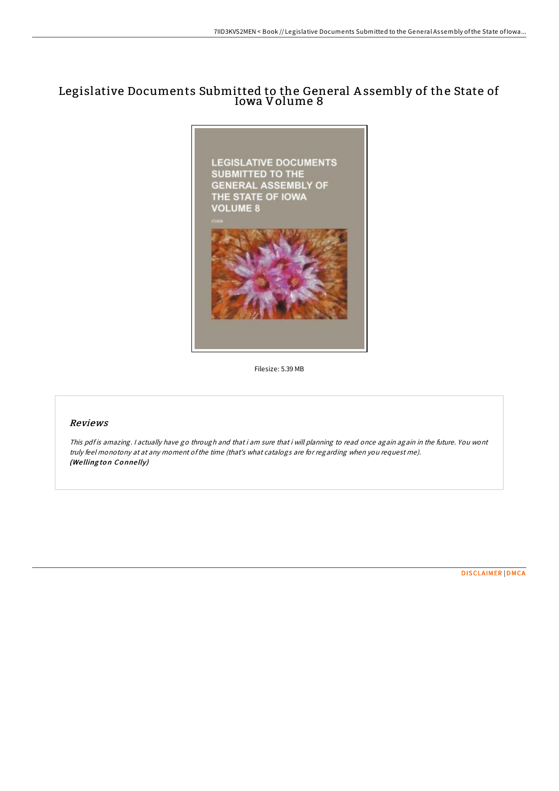## Legislative Documents Submitted to the General A ssembly of the State of Iowa Volume 8



Filesize: 5.39 MB

## Reviews

This pdf is amazing. I actually have go through and that i am sure that i will planning to read once again again in the future. You wont truly feel monotony at at any moment ofthe time (that's what catalogs are for regarding when you request me). (Welling ton Connelly)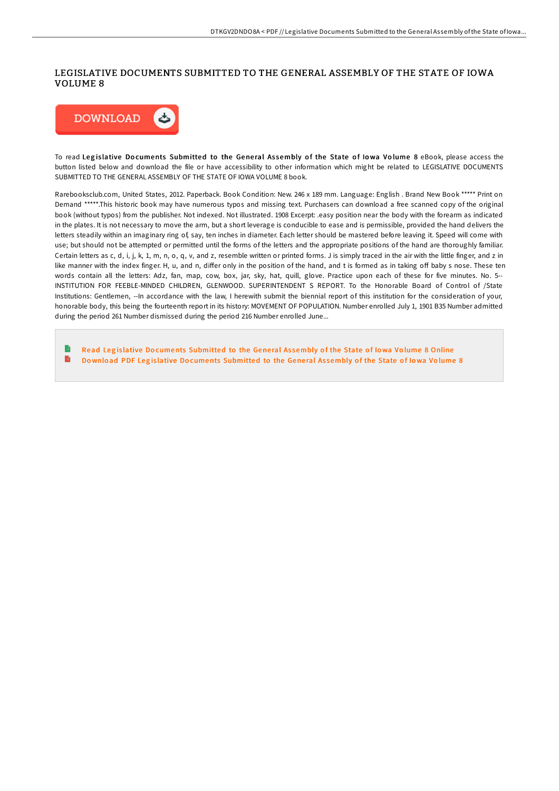## LEGISLATIVE DOCUMENTS SUBMITTED TO THE GENERAL ASSEMBLY OF THE STATE OF IOWA VOLUME 8



To read Legislative Documents Submitted to the General Assembly of the State of Iowa Volume 8 eBook, please access the button listed below and download the file or have accessibility to other information which might be related to LEGISLATIVE DOCUMENTS SUBMITTED TO THE GENERAL ASSEMBLY OF THE STATE OF IOWA VOLUME 8 book.

Rarebooksclub.com, United States, 2012. Paperback. Book Condition: New. 246 x 189 mm. Language: English . Brand New Book \*\*\*\*\* Print on Demand \*\*\*\*\*.This historic book may have numerous typos and missing text. Purchasers can download a free scanned copy of the original book (without typos) from the publisher. Not indexed. Not illustrated. 1908 Excerpt: .easy position near the body with the forearm as indicated in the plates. It is not necessary to move the arm, but a short leverage is conducible to ease and is permissible, provided the hand delivers the letters steadily within an imaginary ring of, say, ten inches in diameter. Each letter should be mastered before leaving it. Speed will come with use; but should not be attempted or permitted until the forms of the letters and the appropriate positions of the hand are thoroughly familiar. Certain letters as c, d, i, j, k, 1, m, n, o, q, v, and z, resemble written or printed forms. J is simply traced in the air with the little finger, and z in like manner with the index finger. H, u, and n, differ only in the position of the hand, and t is formed as in taking off baby s nose. These ten words contain all the letters: Adz, fan, map, cow, box, jar, sky, hat, quill, glove. Practice upon each of these for five minutes. No. 5-- INSTITUTION FOR FEEBLE-MINDED CHILDREN, GLENWOOD. SUPERINTENDENT S REPORT. To the Honorable Board of Control of /State Institutions: Gentlemen, --In accordance with the law, I herewith submit the biennial report of this institution for the consideration of your, honorable body, this being the fourteenth report in its history: MOVEMENT OF POPULATION. Number enrolled July 1, 1901 B35 Number admitted during the period 261 Number dismissed during the period 216 Number enrolled June...

L) Read Legislative Documents [Submitted](http://almighty24.tech/legislative-documents-submitted-to-the-general-a-1.html) to the General Assembly of the State of Iowa Volume 8 Online  $\mathbf{B}$ Download PDF Legislative Documents [Submitted](http://almighty24.tech/legislative-documents-submitted-to-the-general-a-1.html) to the General Assembly of the State of Iowa Volume 8